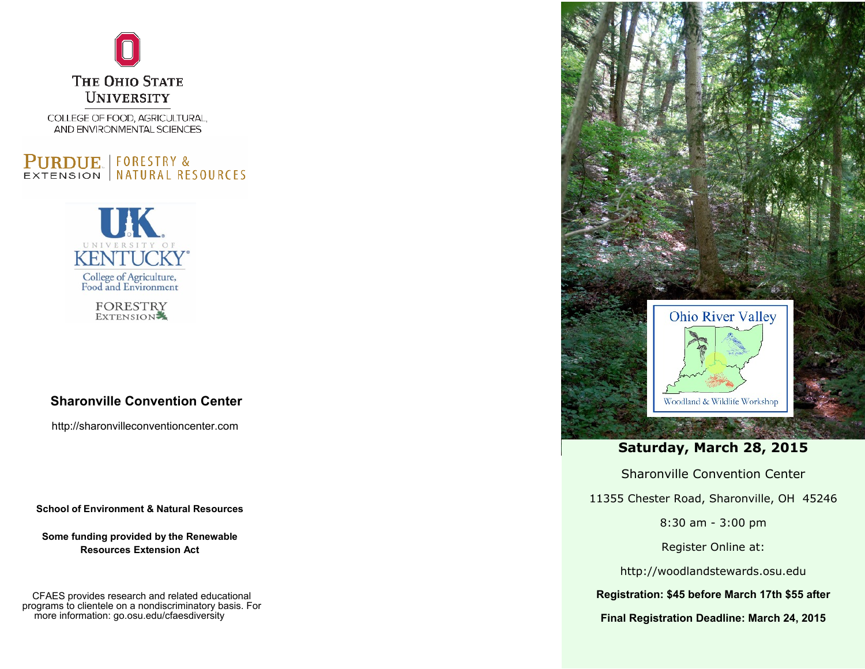

COLLEGE OF FOOD, AGRICULTURAL, AND ENVIRONMENTAL SCIENCES

## **PURDUE** FORESTRY & EXTENSION | NATURAL RESOURCES



**FORESTRY** EXTENSION

## **Sharonville Convention Center**

http://sharonvilleconventioncenter.com

**School of Environment & Natural Resources**

**Some funding provided by the Renewable Resources Extension Act**

CFAES provides research and related educational programs to clientele on a nondiscriminatory basis. For more information: go.osu.edu/cfaesdiversity



## **Saturday, March 28, 2015**

Sharonville Convention Center

11355 Chester Road, Sharonville, OH 45246

8:30 am - 3:00 pm

Register Online at:

http://woodlandstewards.osu.edu

**Registration: \$45 before March 17th \$55 after**

**Final Registration Deadline: March 24, 2015**